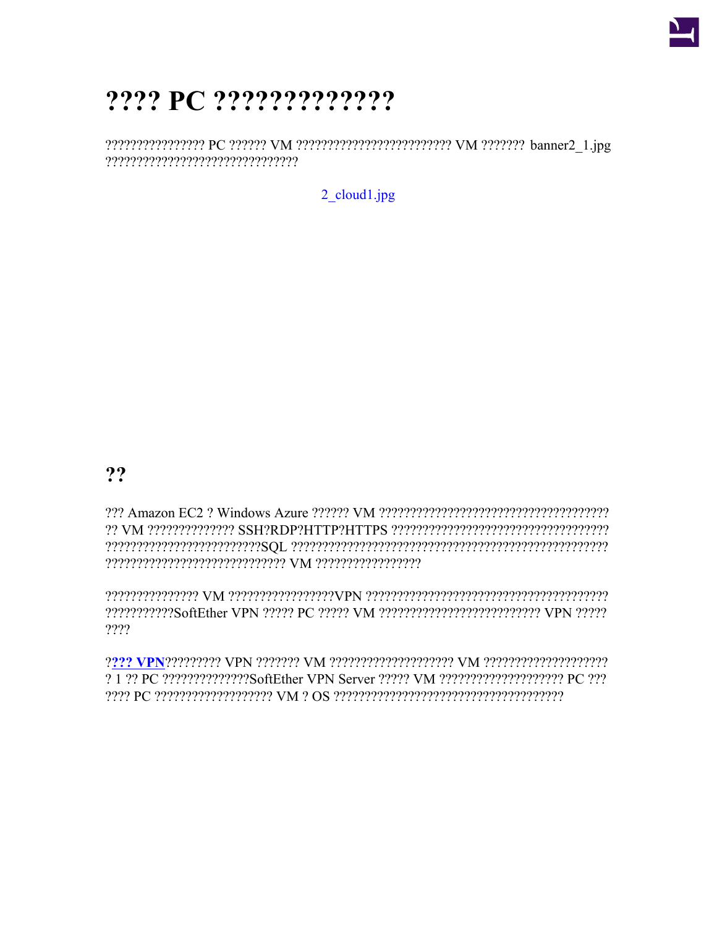

# ???? PC ?????????????

2  $cloud1.jpg$ 

 $22$ 

222222222222SoftEther VPN 22222 PC 22222 VM 2222222222222222222222222 VPN 22222  $2222$ 

2.1.22 PC 222222222222225 oftEther VPN Server 22222 VM 2222222222222222222 PC 222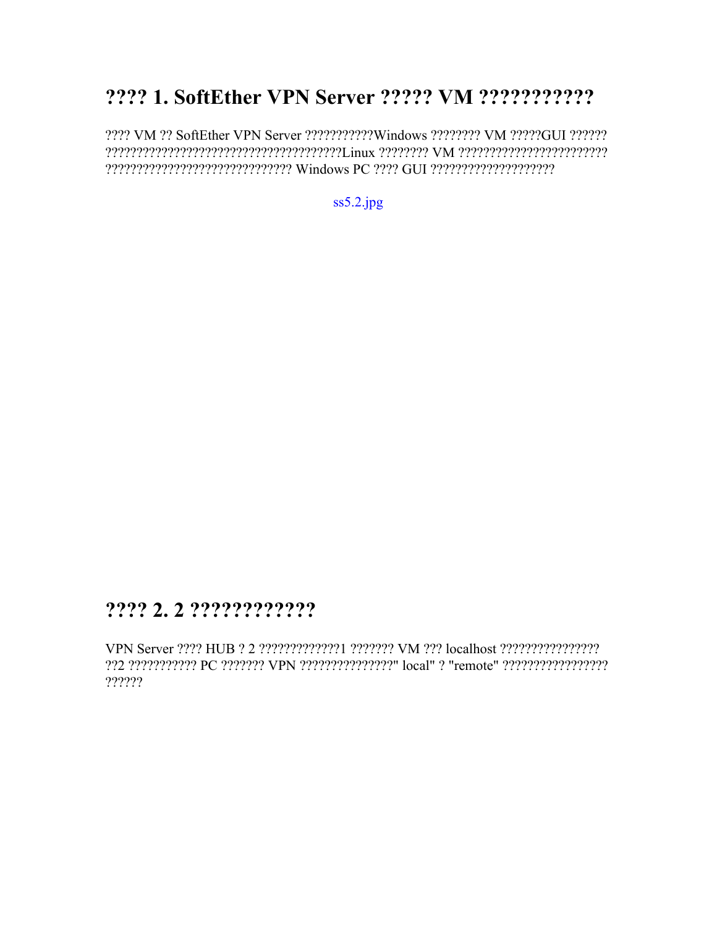## 2222 1. SoftEther VPN Server 22222 VM 22222222222

???? VM ?? SoftEther VPN Server ???????????Windows ???????? VM ?????GUI ?????? 

 $ss5.2$ .jpg

#### ???? 2.2 ?????????????

VPN Server ???? HUB ? 2 ?????????????? ??????? VM ??? localhost ????????????????? 22 22222222222 PC 2222222 VPN 222222222222222" local" 2 "remote" 2222222222222222  $??????$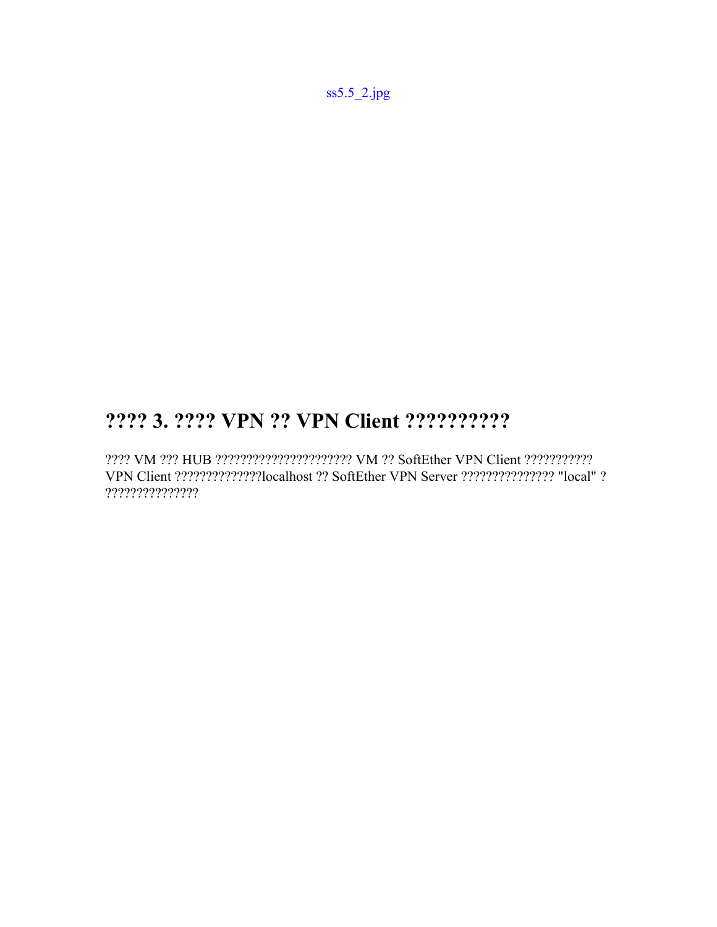[ss5.5\\_2.jpg](https://ja.softether.org/@api/deki/files/615/=ss5.5_2.jpg)

### **???? 3. ???? VPN ?? VPN Client ??????????**

???? VM ??? HUB ?????????????????????? VM ?? SoftEther VPN Client ??????????? VPN Client ??????????????localhost ?? SoftEther VPN Server ??????????????? "local" ? ???????????????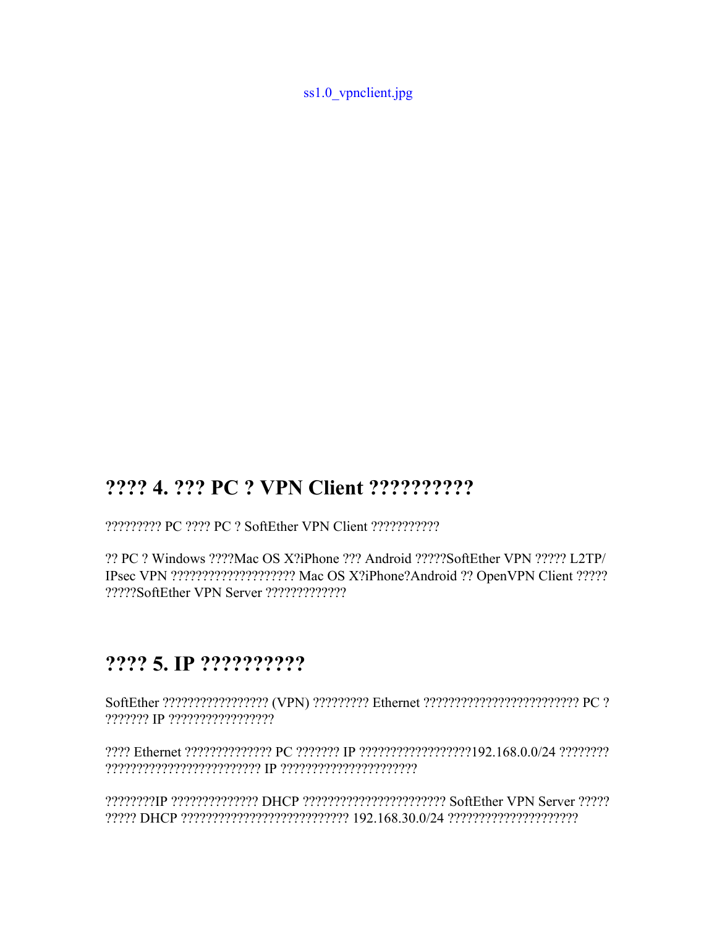[ss1.0\\_vpnclient.jpg](https://ja.softether.org/@api/deki/files/613/=ss1.0_vpnclient.jpg)

#### **???? 4. ??? PC ? VPN Client ??????????**

????????? PC ???? PC ? SoftEther VPN Client ???????????

?? PC ? Windows ????Mac OS X?iPhone ??? Android ?????SoftEther VPN ????? L2TP/ IPsec VPN ???????????????????? Mac OS X?iPhone?Android ?? OpenVPN Client ????? ?????SoftEther VPN Server ?????????????

#### **???? 5. IP ??????????**

SoftEther ????????????????? (VPN) ????????? Ethernet ????????????????????????? PC ? ??????? IP ?????????????????

???? Ethernet ?????????????? PC ??????? IP ??????????????????192.168.0.0/24 ???????? ????????????????????????? IP ??????????????????????

????????IP ?????????????? DHCP ??????????????????????? SoftEther VPN Server ????? ????? DHCP ??????????????????????????? 192.168.30.0/24 ?????????????????????